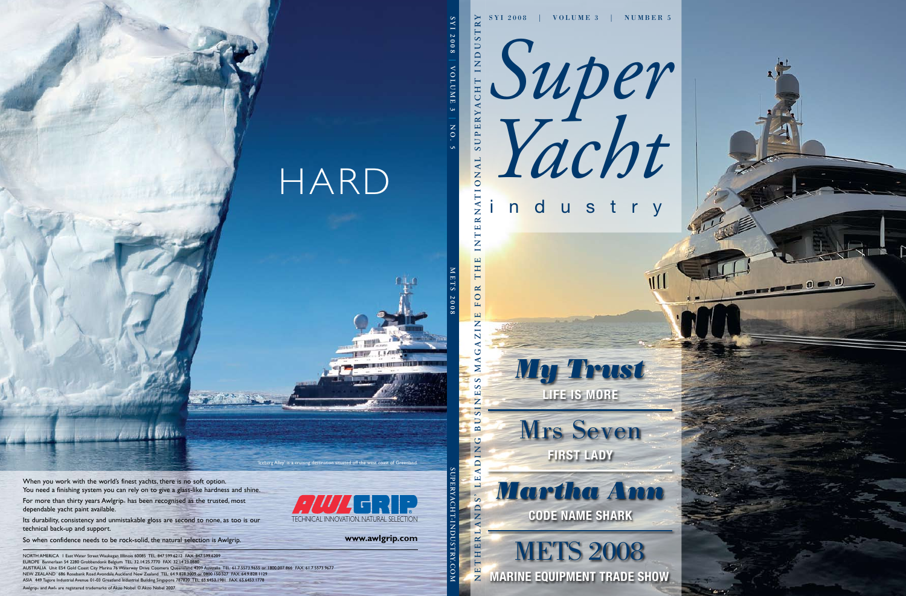*Super Yacht*

## industry

TIL





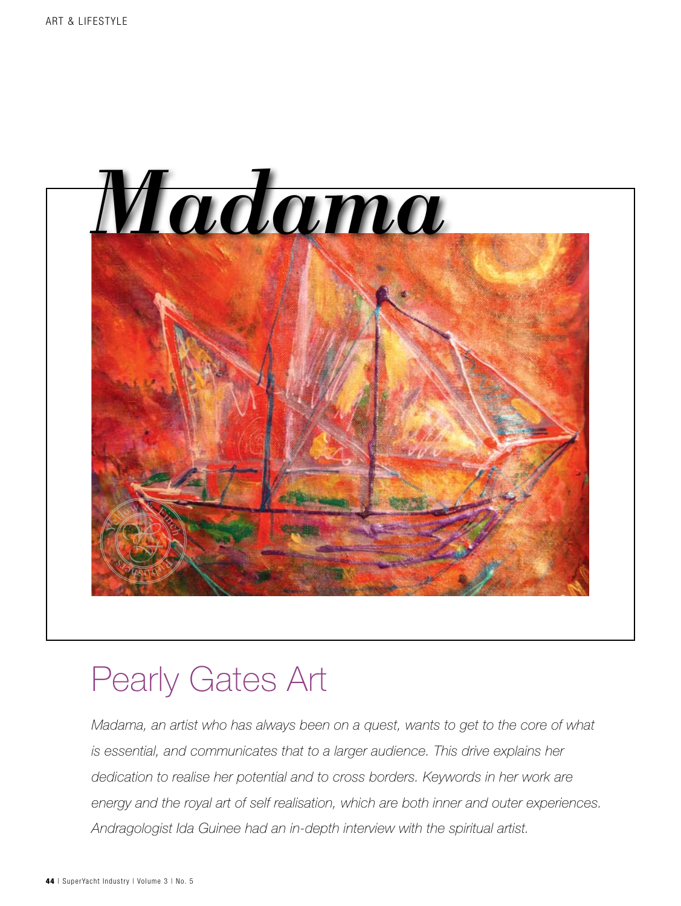

# Pearly Gates Art

*Madama, an artist who has always been on a quest, wants to get to the core of what is essential, and communicates that to a larger audience. This drive explains her dedication to realise her potential and to cross borders. Keywords in her work are energy and the royal art of self realisation, which are both inner and outer experiences. Andragologist Ida Guinee had an in-depth interview with the spiritual artist.*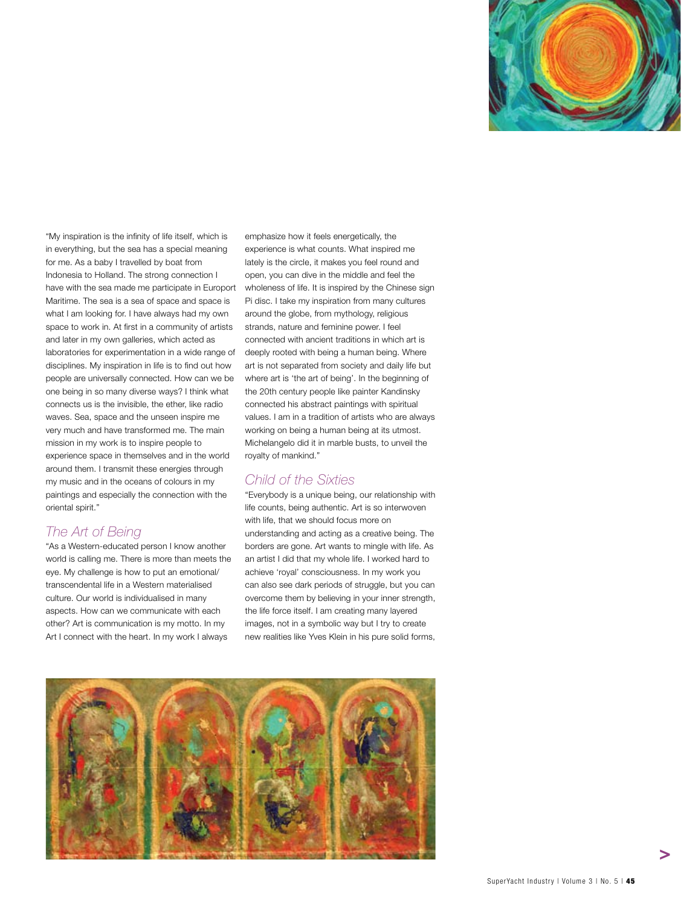

"My inspiration is the infinity of life itself, which is in everything, but the sea has a special meaning for me. As a baby I travelled by boat from Indonesia to Holland. The strong connection I have with the sea made me participate in Europort Maritime. The sea is a sea of space and space is what I am looking for. I have always had my own space to work in. At first in a community of artists and later in my own galleries, which acted as laboratories for experimentation in a wide range of disciplines. My inspiration in life is to find out how people are universally connected. How can we be one being in so many diverse ways? I think what connects us is the invisible, the ether, like radio waves. Sea, space and the unseen inspire me very much and have transformed me. The main mission in my work is to inspire people to experience space in themselves and in the world around them. I transmit these energies through my music and in the oceans of colours in my paintings and especially the connection with the oriental spirit."

#### *The Art of Being*

"As a Western-educated person I know another world is calling me. There is more than meets the eye. My challenge is how to put an emotional/ transcendental life in a Western materialised culture. Our world is individualised in many aspects. How can we communicate with each other? Art is communication is my motto. In my Art I connect with the heart. In my work I always

emphasize how it feels energetically, the experience is what counts. What inspired me lately is the circle, it makes you feel round and open, you can dive in the middle and feel the wholeness of life. It is inspired by the Chinese sign Pi disc. I take my inspiration from many cultures around the globe, from mythology, religious strands, nature and feminine power. I feel connected with ancient traditions in which art is deeply rooted with being a human being. Where art is not separated from society and daily life but where art is 'the art of being'. In the beginning of the 20th century people like painter Kandinsky connected his abstract paintings with spiritual values. I am in a tradition of artists who are always working on being a human being at its utmost. Michelangelo did it in marble busts, to unveil the royalty of mankind."

### *Child of the Sixties*

"Everybody is a unique being, our relationship with life counts, being authentic. Art is so interwoven with life, that we should focus more on understanding and acting as a creative being. The borders are gone. Art wants to mingle with life. As an artist I did that my whole life. I worked hard to achieve 'royal' consciousness. In my work you can also see dark periods of struggle, but you can overcome them by believing in your inner strength, the life force itself. I am creating many layered images, not in a symbolic way but I try to create new realities like Yves Klein in his pure solid forms,

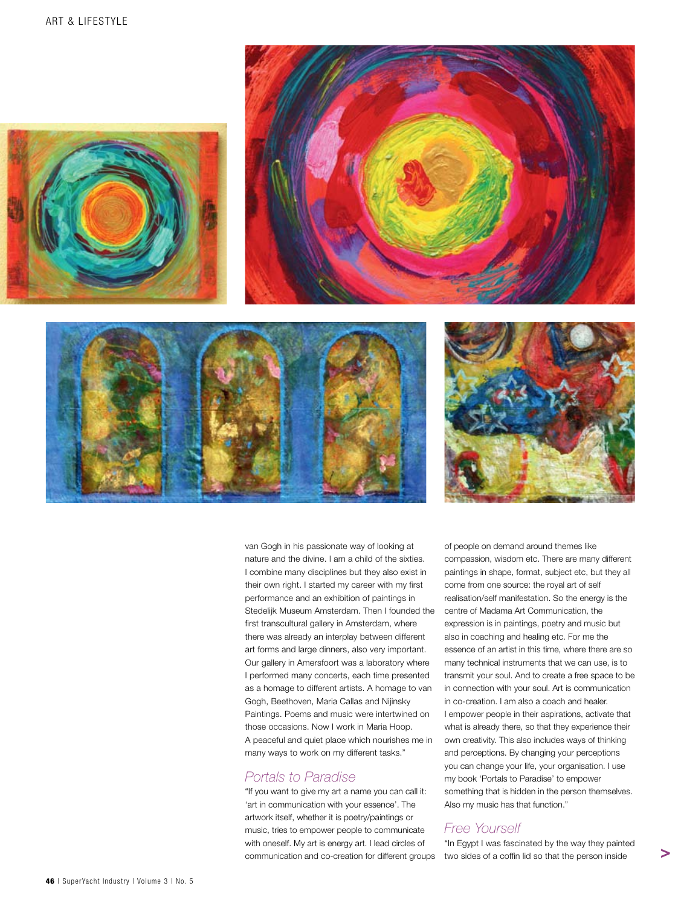







van Gogh in his passionate way of looking at nature and the divine. I am a child of the sixties. I combine many disciplines but they also exist in their own right. I started my career with my first performance and an exhibition of paintings in Stedelijk Museum Amsterdam. Then I founded the first transcultural gallery in Amsterdam, where there was already an interplay between different art forms and large dinners, also very important. Our gallery in Amersfoort was a laboratory where I performed many concerts, each time presented as a homage to different artists. A homage to van Gogh, Beethoven, Maria Callas and Nijinsky Paintings. Poems and music were intertwined on those occasions. Now I work in Maria Hoop. A peaceful and quiet place which nourishes me in many ways to work on my different tasks."

#### *Portals to Paradise*

"If you want to give my art a name you can call it: 'art in communication with your essence'. The artwork itself, whether it is poetry/paintings or music, tries to empower people to communicate with oneself. My art is energy art. I lead circles of communication and co-creation for different groups

of people on demand around themes like compassion, wisdom etc. There are many different paintings in shape, format, subject etc, but they all come from one source: the royal art of self realisation/self manifestation. So the energy is the centre of Madama Art Communication, the expression is in paintings, poetry and music but also in coaching and healing etc. For me the essence of an artist in this time, where there are so many technical instruments that we can use, is to transmit your soul. And to create a free space to be in connection with your soul. Art is communication in co-creation. I am also a coach and healer. I empower people in their aspirations, activate that what is already there, so that they experience their own creativity. This also includes ways of thinking and perceptions. By changing your perceptions you can change your life, your organisation. I use my book 'Portals to Paradise' to empower something that is hidden in the person themselves. Also my music has that function."

### *Free Yourself*

"In Egypt I was fascinated by the way they painted two sides of a coffin lid so that the person inside